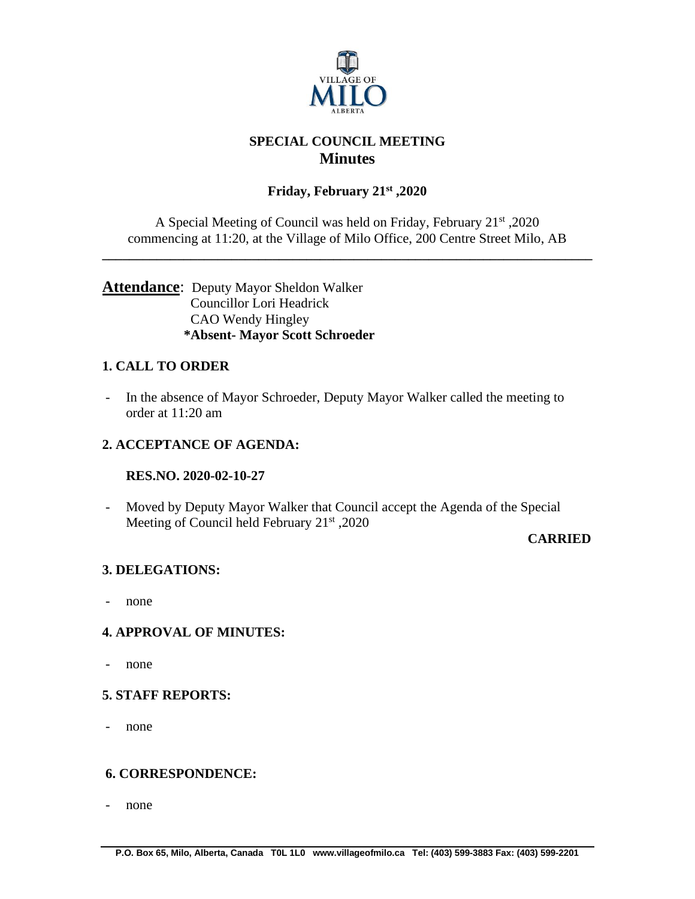

# **SPECIAL COUNCIL MEETING Minutes**

# **Friday, February 21st ,2020**

A Special Meeting of Council was held on Friday, February 21st ,2020 commencing at 11:20, at the Village of Milo Office, 200 Centre Street Milo, AB

**\_\_\_\_\_\_\_\_\_\_\_\_\_\_\_\_\_\_\_\_\_\_\_\_\_\_\_\_\_\_\_\_\_\_\_\_\_\_\_\_\_\_\_\_\_\_\_\_\_\_\_\_\_\_\_\_\_\_\_\_\_\_\_\_\_\_\_\_\_\_\_\_**

## **Attendance**: Deputy Mayor Sheldon Walker Councillor Lori Headrick CAO Wendy Hingley **\*Absent- Mayor Scott Schroeder**

## **1. CALL TO ORDER**

- In the absence of Mayor Schroeder, Deputy Mayor Walker called the meeting to order at 11:20 am

## **2. ACCEPTANCE OF AGENDA:**

#### **RES.NO. 2020-02-10-27**

- Moved by Deputy Mayor Walker that Council accept the Agenda of the Special Meeting of Council held February  $21<sup>st</sup>$ , 2020

#### **CARRIED**

#### **3. DELEGATIONS:**

- none

#### **4. APPROVAL OF MINUTES:**

- none

#### **5. STAFF REPORTS:**

- none

## **6. CORRESPONDENCE:**

- none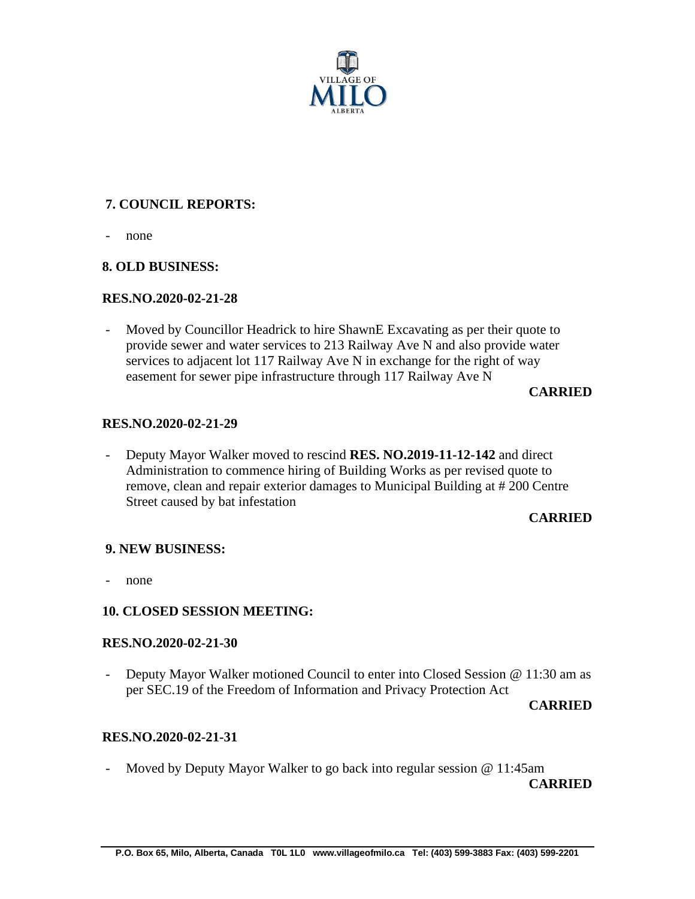

# **7. COUNCIL REPORTS:**

- none

### **8. OLD BUSINESS:**

#### **RES.NO.2020-02-21-28**

- Moved by Councillor Headrick to hire ShawnE Excavating as per their quote to provide sewer and water services to 213 Railway Ave N and also provide water services to adjacent lot 117 Railway Ave N in exchange for the right of way easement for sewer pipe infrastructure through 117 Railway Ave N

### **CARRIED**

#### **RES.NO.2020-02-21-29**

- Deputy Mayor Walker moved to rescind **RES. NO.2019-11-12-142** and direct Administration to commence hiring of Building Works as per revised quote to remove, clean and repair exterior damages to Municipal Building at # 200 Centre Street caused by bat infestation

#### **CARRIED**

#### **9. NEW BUSINESS:**

none

## **10. CLOSED SESSION MEETING:**

#### **RES.NO.2020-02-21-30**

- Deputy Mayor Walker motioned Council to enter into Closed Session @ 11:30 am as per SEC.19 of the Freedom of Information and Privacy Protection Act

**CARRIED**

## **RES.NO.2020-02-21-31**

- Moved by Deputy Mayor Walker to go back into regular session @ 11:45am

**CARRIED**